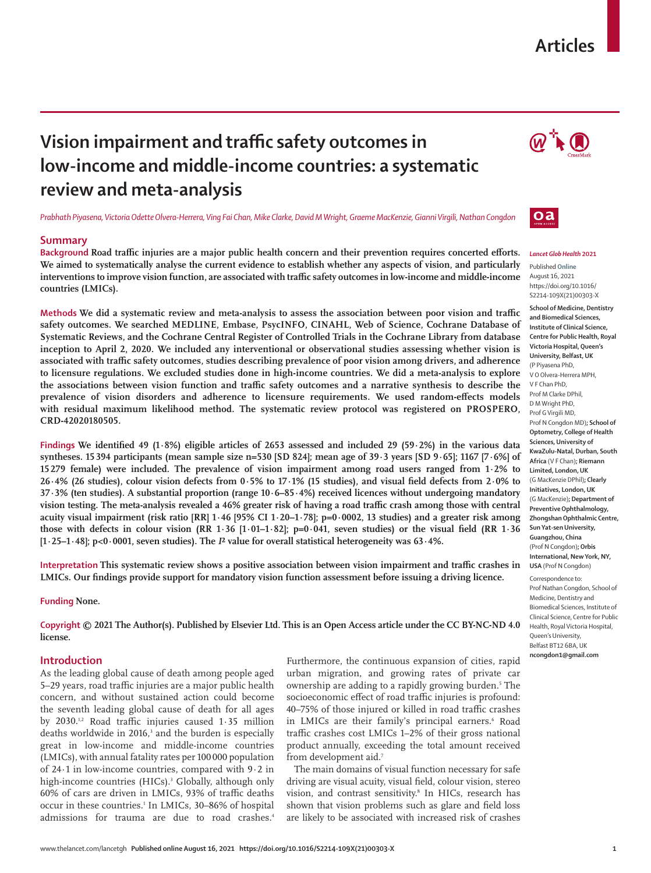## **Articles**

# **Vision impairment and traffic safety outcomes in low-income and middle-income countries: a systematic review and meta-analysis**

*Prabhath Piyasena, Victoria Odette Olvera-Herrera, Ving Fai Chan, Mike Clarke, David M Wright, Graeme MacKenzie, Gianni Virgili, Nathan Congdon*

## **Summary**

**Background Road traffic injuries are a major public health concern and their prevention requires concerted efforts. We aimed to systematically analyse the current evidence to establish whether any aspects of vision, and particularly interventions to improve vision function, are associated with traffic safety outcomes in low-income and middle-income countries (LMICs).**

**Methods We did a systematic review and meta-analysis to assess the association between poor vision and traffic safety outcomes. We searched MEDLINE, Embase, PsycINFO, CINAHL, Web of Science, Cochrane Database of Systematic Reviews, and the Cochrane Central Register of Controlled Trials in the Cochrane Library from database inception to April 2, 2020. We included any interventional or observational studies assessing whether vision is associated with traffic safety outcomes, studies describing prevalence of poor vision among drivers, and adherence to licensure regulations. We excluded studies done in high-income countries. We did a meta-analysis to explore the associations between vision function and traffic safety outcomes and a narrative synthesis to describe the prevalence of vision disorders and adherence to licensure requirements. We used random-effects models with residual maximum likelihood method. The systematic review protocol was registered on PROSPERO, CRD-42020180505.**

**Findings We identified 49 (1·8%) eligible articles of 2653 assessed and included 29 (59·2%) in the various data syntheses. 15 394 participants (mean sample size n=530 [SD 824]; mean age of 39·3 years [SD 9·65]; 1167 [7·6%] of 15 279 female) were included. The prevalence of vision impairment among road users ranged from 1·2% to 26·4% (26 studies), colour vision defects from 0·5% to 17·1% (15 studies), and visual field defects from 2·0% to 37·3% (ten studies). A substantial proportion (range 10·6–85·4%) received licences without undergoing mandatory vision testing. The meta-analysis revealed a 46% greater risk of having a road traffic crash among those with central acuity visual impairment (risk ratio [RR] 1·46 [95% CI 1·20–1·78]; p=0·0002, 13 studies) and a greater risk among**  those with defects in colour vision (RR  $1.36$   $[1.01-1.82]$ ;  $p=0.041$ , seven studies) or the visual field (RR  $1.36$ **[1·25–1·48]; p<0·0001, seven studies). The** *I***² value for overall statistical heterogeneity was 63·4%.**

**Interpretation This systematic review shows a positive association between vision impairment and traffic crashes in LMICs. Our findings provide support for mandatory vision function assessment before issuing a driving licence.**

#### **Funding None.**

**Copyright © 2021 The Author(s). Published by Elsevier Ltd. This is an Open Access article under the CC BY-NC-ND 4.0 license.**

### **Introduction**

As the leading global cause of death among people aged 5–29 years, road traffic injuries are a major public health concern, and without sustained action could become the seventh leading global cause of death for all ages by 2030.<sup>1,2</sup> Road traffic injuries caused  $1.35$  million deaths worldwide in 2016,<sup>3</sup> and the burden is especially great in low-income and middle-income countries (LMICs), with annual fatality rates per 100 000 population of 24·1 in low-income countries, compared with 9·2 in high-income countries (HICs).<sup>3</sup> Globally, although only 60% of cars are driven in LMICs, 93% of traffic deaths occur in these countries.<sup>1</sup> In LMICs, 30-86% of hospital admissions for trauma are due to road crashes.<sup>4</sup>

Furthermore, the continuous expansion of cities, rapid urban migration, and growing rates of private car ownership are adding to a rapidly growing burden.<sup>5</sup> The socioeconomic effect of road traffic injuries is profound: 40–75% of those injured or killed in road traffic crashes in LMICs are their family's principal earners.<sup>6</sup> Road traffic crashes cost LMICs 1–2% of their gross national product annually, exceeding the total amount received from development aid.7

The main domains of visual function necessary for safe driving are visual acuity, visual field, colour vision, stereo vision, and contrast sensitivity.<sup>8</sup> In HICs, research has shown that vision problems such as glare and field loss are likely to be associated with increased risk of crashes





## *Lancet Glob Health* **2021**

Published **Online** August 16, 2021 https://doi.org/10.1016/ S2214-109X(21)00303-X

**School of Medicine, Dentistry and Biomedical Sciences, Institute of Clinical Science, Centre for Public Health, Royal Victoria Hospital, Queen's University, Belfast, UK**  (P Piyasena PhD, V O Olvera-Herrera MPH, V F Chan PhD, Prof M Clarke DPhil, D M Wright PhD, Prof G Virgili MD, Prof N Congdon MD)**; School of Optometry, College of Health Sciences, University of KwaZulu-Natal, Durban, South Africa** (V F Chan)**; Riemann Limited, London, UK**  (G MacKenzie DPhil)**; Clearly Initiatives, London, UK**  (G MacKenzie)**; Department of Preventive Ophthalmology, Zhongshan Ophthalmic Centre, Sun Yat-sen University, Guangzhou, China**  (Prof N Congdon)**; Orbis International, New York, NY, USA** (Prof N Congdon)

Correspondence to:

Prof Nathan Congdon, School of Medicine, Dentistry and Biomedical Sciences, Institute of Clinical Science, Centre for Public Health, Royal Victoria Hospital, Queen's University, Belfast BT12 6BA, UK **ncongdon1@gmail.com**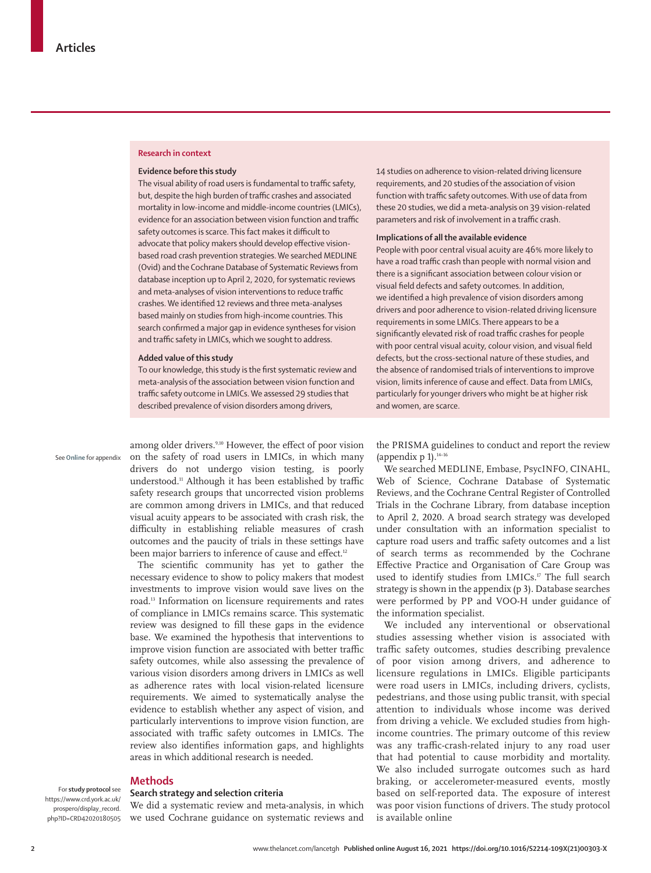#### **Research in context**

#### **Evidence before this study**

The visual ability of road users is fundamental to traffic safety, but, despite the high burden of traffic crashes and associated mortality in low-income and middle-income countries (LMICs), evidence for an association between vision function and traffic safety outcomes is scarce. This fact makes it difficult to advocate that policy makers should develop effective visionbased road crash prevention strategies. We searched MEDLINE (Ovid) and the Cochrane Database of Systematic Reviews from database inception up to April 2, 2020, for systematic reviews and meta-analyses of vision interventions to reduce traffic crashes. We identified 12 reviews and three meta-analyses based mainly on studies from high-income countries. This search confirmed a major gap in evidence syntheses for vision and traffic safety in LMICs, which we sought to address.

#### **Added value of this study**

To our knowledge, this study is the first systematic review and meta-analysis of the association between vision function and traffic safety outcome in LMICs. We assessed 29 studies that described prevalence of vision disorders among drivers,

See **Online** for appendix

among older drivers.<sup>9,10</sup> However, the effect of poor vision on the safety of road users in LMICs, in which many drivers do not undergo vision testing, is poorly understood.11 Although it has been established by traffic safety research groups that uncorrected vision problems are common among drivers in LMICs, and that reduced visual acuity appears to be associated with crash risk, the difficulty in establishing reliable measures of crash outcomes and the paucity of trials in these settings have been major barriers to inference of cause and effect.<sup>12</sup>

The scientific community has yet to gather the necessary evidence to show to policy makers that modest investments to improve vision would save lives on the road.13 Information on licensure requirements and rates of compliance in LMICs remains scarce. This systematic review was designed to fill these gaps in the evidence base. We examined the hypothesis that interventions to improve vision function are associated with better traffic safety outcomes, while also assessing the prevalence of various vision disorders among drivers in LMICs as well as adherence rates with local vision-related licensure requirements. We aimed to systematically analyse the evidence to establish whether any aspect of vision, and particularly interventions to improve vision function, are associated with traffic safety outcomes in LMICs. The review also identifies information gaps, and highlights areas in which additional research is needed.

## **Methods**

#### **Search strategy and selection criteria** For **study protocol** see

[https://www.crd.york.ac.uk/](https://www.crd.york.ac.uk/prospero/display_record.php?ID=CRD42020180505) [prospero/display\\_record.](https://www.crd.york.ac.uk/prospero/display_record.php?ID=CRD42020180505) [php?ID=CRD42020180505](https://www.crd.york.ac.uk/prospero/display_record.php?ID=CRD42020180505)

We did a systematic review and meta-analysis, in which we used Cochrane guidance on systematic reviews and 14 studies on adherence to vision-related driving licensure requirements, and 20 studies of the association of vision function with traffic safety outcomes. With use of data from these 20 studies, we did a meta-analysis on 39 vision-related parameters and risk of involvement in a traffic crash.

#### **Implications of all the available evidence**

People with poor central visual acuity are 46% more likely to have a road traffic crash than people with normal vision and there is a significant association between colour vision or visual field defects and safety outcomes. In addition, we identified a high prevalence of vision disorders among drivers and poor adherence to vision-related driving licensure requirements in some LMICs. There appears to be a significantly elevated risk of road traffic crashes for people with poor central visual acuity, colour vision, and visual field defects, but the cross-sectional nature of these studies, and the absence of randomised trials of interventions to improve vision, limits inference of cause and effect. Data from LMICs, particularly for younger drivers who might be at higher risk and women, are scarce.

the PRISMA guidelines to conduct and report the review (appendix  $p 1$ ).<sup>14–16</sup>

We searched MEDLINE, Embase, PsycINFO, CINAHL, Web of Science, Cochrane Database of Systematic Reviews, and the Cochrane Central Register of Controlled Trials in the Cochrane Library, from database inception to April 2, 2020. A broad search strategy was developed under consultation with an information specialist to capture road users and traffic safety outcomes and a list of search terms as recommended by the Cochrane Effective Practice and Organisation of Care Group was used to identify studies from LMICs.<sup>17</sup> The full search strategy is shown in the appendix (p 3). Database searches were performed by PP and VOO-H under guidance of the information specialist.

We included any interventional or observational studies assessing whether vision is associated with traffic safety outcomes, studies describing prevalence of poor vision among drivers, and adherence to licensure regulations in LMICs. Eligible participants were road users in LMICs, including drivers, cyclists, pedestrians, and those using public transit, with special attention to individuals whose income was derived from driving a vehicle. We excluded studies from highincome countries. The primary outcome of this review was any traffic-crash-related injury to any road user that had potential to cause morbidity and mortality. We also included surrogate outcomes such as hard braking, or accelerometer-measured events, mostly based on self-reported data. The exposure of interest was poor vision functions of drivers. The study protocol is available [online](https://www.crd.york.ac.uk/prospero/display_record.php?ID=CRD42020180505)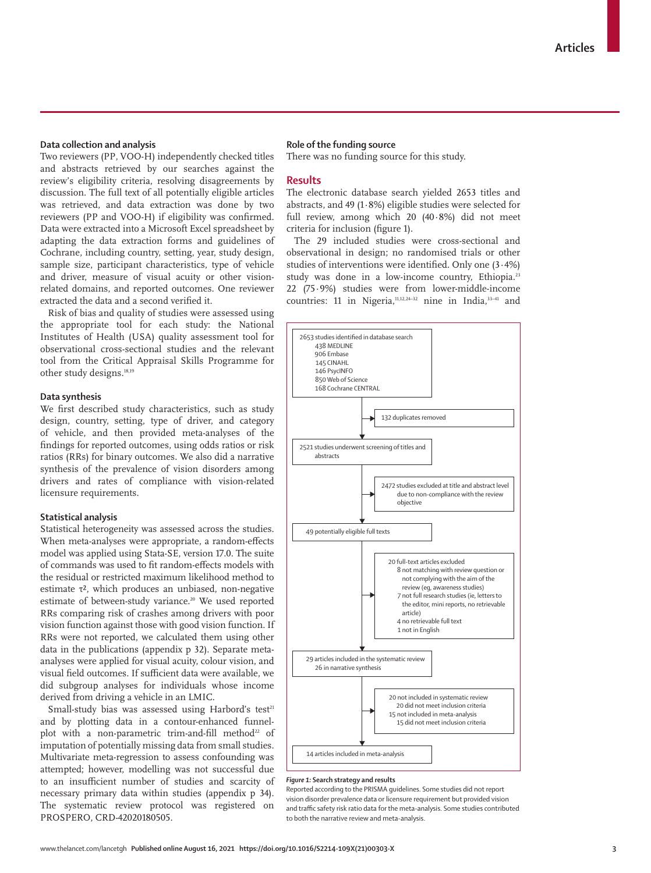## **Data collection and analysis**

Two reviewers (PP, VOO-H) independently checked titles and abstracts retrieved by our searches against the review's eligibility criteria, resolving disagreements by discussion. The full text of all potentially eligible articles was retrieved, and data extraction was done by two reviewers (PP and VOO-H) if eligibility was confirmed. Data were extracted into a Microsoft Excel spreadsheet by adapting the data extraction forms and guidelines of Cochrane, including country, setting, year, study design, sample size, participant characteristics, type of vehicle and driver, measure of visual acuity or other visionrelated domains, and reported outcomes. One reviewer extracted the data and a second verified it.

Risk of bias and quality of studies were assessed using the appropriate tool for each study: the National Institutes of Health (USA) quality assessment tool for observational cross-sectional studies and the relevant tool from the Critical Appraisal Skills Programme for other study designs.18,19

## **Data synthesis**

We first described study characteristics, such as study design, country, setting, type of driver, and category of vehicle, and then provided meta-analyses of the findings for reported outcomes, using odds ratios or risk ratios (RRs) for binary outcomes. We also did a narrative synthesis of the prevalence of vision disorders among drivers and rates of compliance with vision-related licensure requirements.

## **Statistical analysis**

Statistical heterogeneity was assessed across the studies. When meta-analyses were appropriate, a random-effects model was applied using Stata-SE, version 17.0. The suite of commands was used to fit random-effects models with the residual or restricted maximum likelihood method to estimate τ<sup>2</sup>, which produces an unbiased, non-negative estimate of between-study variance.<sup>20</sup> We used reported RRs comparing risk of crashes among drivers with poor vision function against those with good vision function. If RRs were not reported, we calculated them using other data in the publications (appendix p 32). Separate metaanalyses were applied for visual acuity, colour vision, and visual field outcomes. If sufficient data were available, we did subgroup analyses for individuals whose income derived from driving a vehicle in an LMIC.

Small-study bias was assessed using Harbord's test $21$ and by plotting data in a contour-enhanced funnelplot with a non-parametric trim-and-fill method<sup>22</sup> of imputation of potentially missing data from small studies. Multivariate meta-regression to assess confounding was attempted; however, modelling was not successful due to an insufficient number of studies and scarcity of necessary primary data within studies (appendix p 34). The systematic review protocol was registered on PROSPERO, CRD-42020180505.

#### **Role of the funding source**

There was no funding source for this study.

## **Results**

The electronic database search yielded 2653 titles and abstracts, and 49 (1·8%) eligible studies were selected for full review, among which 20 (40·8%) did not meet criteria for inclusion (figure 1).

The 29 included studies were cross-sectional and observational in design; no randomised trials or other studies of interventions were identified. Only one (3·4%) study was done in a low-income country. Ethiopia.<sup>23</sup> 22 (75·9%) studies were from lower-middle-income countries: 11 in Nigeria, $11,12,24-32$  nine in India, $33-41$  and



#### *Figure 1:* **Search strategy and results**

Reported according to the PRISMA guidelines. Some studies did not report vision disorder prevalence data or licensure requirement but provided vision and traffic safety risk ratio data for the meta-analysis. Some studies contributed to both the narrative review and meta-analysis.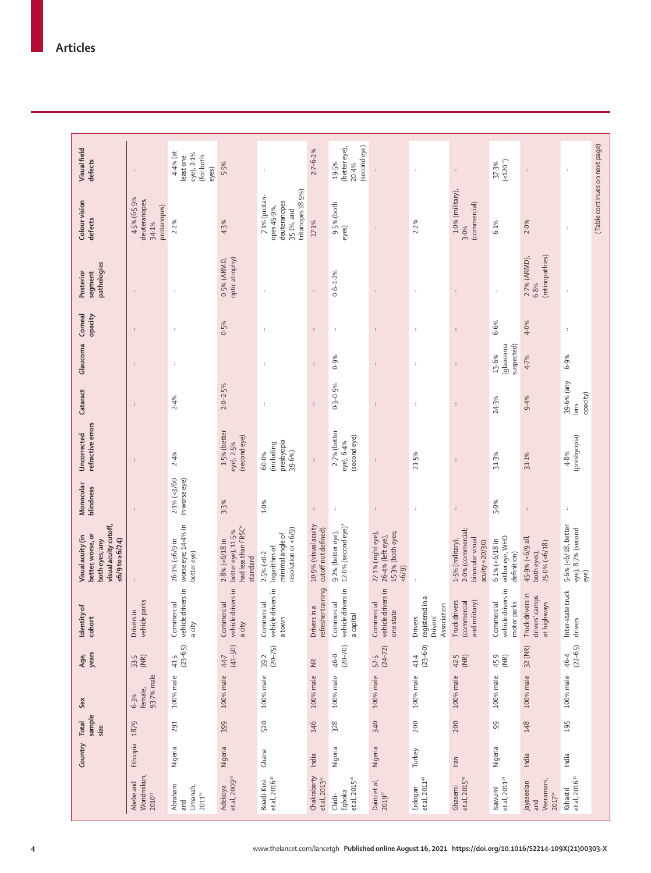| Visual field<br>defects                                                                                    | $\cdot$                                              | $4.4\%$ (at<br>eye), 2.1%<br>least one<br>(for both<br>eyes) | 5.5%                                                                          | $\colon$                                                                        | $2.7 - 6.2%$                                | (second eye)<br>(better eye),<br>19-5%<br>20.4% | $\colon$                                                              | ÷                                                     | $\ddot{\phantom{a}}$                                                        | $($ <120 $^{\circ}$ )<br>37.3%                         | :                                                     | ÷                                                 |
|------------------------------------------------------------------------------------------------------------|------------------------------------------------------|--------------------------------------------------------------|-------------------------------------------------------------------------------|---------------------------------------------------------------------------------|---------------------------------------------|-------------------------------------------------|-----------------------------------------------------------------------|-------------------------------------------------------|-----------------------------------------------------------------------------|--------------------------------------------------------|-------------------------------------------------------|---------------------------------------------------|
| Colour vision<br>defects                                                                                   | 4.5% (65.9%<br>deuteranopes,<br>protanopes)<br>34.1% | 2.2%                                                         | 4.3%                                                                          | tritanopes 18-9%)<br>7.1% (protan-<br>deuteranopes<br>opes 45-9%,<br>35-1%, and | $17.1\%$                                    | 9-5% (both<br>eyes)                             | $\ddot{\phantom{a}}$                                                  | 2.2%                                                  | $1.0\%$ (military),<br>(commercial)<br>3.0%                                 | 6.1%                                                   | 2.0%                                                  | ÷                                                 |
| pathologies<br>Posterior<br>segment                                                                        | $\colon$                                             | $\colon$                                                     | optic atrophy)<br>0-5% (ARMD,                                                 | $\ddot{\phantom{a}}$                                                            | $\cdot$                                     | $0.6 - 1.2%$                                    | ÷                                                                     | $\cdot$                                               | $\colon$                                                                    | $\colon$                                               | (retinopathies)<br>$2.7\%$ (ARMD),<br>6.8%            | ÷                                                 |
| Corneal<br>opacity                                                                                         | $\cdot$                                              | ÷                                                            | 0.5%                                                                          | ÷                                                                               | $\cdot$                                     | ÷                                               | ÷                                                                     | ÷                                                     | ÷                                                                           | 6.6%                                                   | 4.0%                                                  | ÷                                                 |
| Glaucoma                                                                                                   | $\colon$                                             | $\cdot$                                                      |                                                                               | $\ddot{\phantom{a}}$                                                            | $\cdot$                                     | 0.9%                                            | ÷                                                                     | ÷                                                     | $\colon$                                                                    | (glaucoma<br>suspected)<br>13.6%                       | 4.7%                                                  | 6.9%                                              |
| Cataract                                                                                                   | $\colon$                                             | 2.4%                                                         | $2.0 - 2.5%$                                                                  | $\colon$                                                                        | $\colon$                                    | $0.3 - 0.9%$                                    |                                                                       | ÷                                                     | $\colon$                                                                    | 24.3%                                                  | 9.4%                                                  | 39-6% (any<br>opacity)<br>lens                    |
| refractive errors<br>Uncorrected                                                                           | $\colon$                                             | 2.4%                                                         | 1.5% (better<br>(second eye)<br>eye), 2-5%                                    | presbyopia<br>(including<br>39.6%)<br>60.0%                                     | $\colon$                                    | 2.7% (better<br>(second eye)<br>eye), 6-4%      | $\colon$                                                              | 21.5%                                                 | ÷                                                                           | 31.3%                                                  | 31.1%                                                 | (presbyopia)<br>4.8%                              |
| Monocular<br>blindness                                                                                     | $\ddot{\phantom{a}}$                                 | $2.1\% (-3/60)$<br>in worse eye)                             | 3.3%                                                                          | $1.0\%$                                                                         | $\ddot{\phantom{a}}$                        | $\ddot{\phantom{a}}$                            | $\ddot{\phantom{a}}$                                                  | $\ddot{\phantom{a}}$                                  | $\ddot{\phantom{a}}$                                                        | 5.0%                                                   | $\colon$                                              | ÷                                                 |
| visual acuity cutoff,<br>better, worse, or<br>Visual acuity (in<br>$56/9$ to $\geq 6/24$<br>both eyes; any | $\cdot$                                              | worse eye; 14-4% in<br>$26.1\% (56/9 in$<br>better eye)      | had less than FRSC*<br>$2.8\%$ (<6/18 in<br>better eye), $11.5\%$<br>standard | resolution or <6/9)<br>minimal angle of<br>logarithm of<br>$2.5\%$ (<0.2        | 10-9% (visual acuity<br>cutoff not defined) | $12.0\%$ (second eye)*<br>9-2% (better eye),    | 15-3% (both eyes;<br>27-1% (right eye),<br>26.4% (left eye),<br>(6/9) |                                                       | 2.0% (commercial;<br>binocular visual<br>1-5% (military),<br>acuity <20/30) | either eye, WHO<br>$6.1\%$ (< $6/18$ in<br>definition) | 45.9% (<6/9 all,<br>$25.0\%$ (<6/18)<br>both eyes),   | 5-6% (<6/18, better<br>eye), 8-7% (second<br>eye) |
| ۴<br>Identity<br>cohort                                                                                    | vehicle parks<br>Drivers in                          | vehicle drivers in<br>Commercial<br>a city                   | vehicle drivers in<br>Commercial<br>a city                                    | vehicle drivers in<br>Commercial<br>a town                                      | refresher training<br>Drivers in a          | vehicle drivers in<br>Commercial<br>a capital   | vehicle drivers in<br>Commercial<br>one state                         | registered in a<br>Association<br>Drivers'<br>Drivers | Truck drivers<br>and military)<br>(commercial                               | vehicle drivers in<br>motor parks<br>Commercial        | Truck drivers in<br>camps<br>at highways<br>drivers'  | Inter-state truck<br>drivers                      |
| years<br>Age,                                                                                              | $33.5$<br>(NR)                                       | $(23 - 65)$<br>41.5                                          | $(41 - 50)$<br>44.7                                                           | $(20 - 75)$<br>39.2                                                             | $\widetilde{\Xi}$                           | $(20 - 70)$<br>46.0                             | $(24 - 72)$<br>52.5                                                   | $(23 - 60)$<br>41.4                                   | $42.5$<br>(NR)                                                              | 45.9<br>(MR)                                           | 32 (NR)                                               | $(22 - 65)$<br>46.4                               |
| Sex                                                                                                        | 93-7% male<br>female,<br>6.3%                        | 100% male                                                    | 100% male                                                                     | 100% male                                                                       | 100% male                                   | 100% male                                       | 100% male                                                             | 100% male                                             | 100% male                                                                   | 100% male                                              | 100% male                                             | 100% male                                         |
| sample<br>Total<br>size                                                                                    | 1879                                                 | 291                                                          | 399                                                                           | 520                                                                             | 146                                         | 328                                             | 340                                                                   | 200                                                   | 200                                                                         | 99                                                     | 148                                                   | 195                                               |
| Country                                                                                                    | Ethiopia                                             | Nigeria                                                      | Nigeria                                                                       | Ghana                                                                           | India                                       | Nigeria                                         | Nigeria                                                               | Turkey                                                | Iran                                                                        | Nigeria                                                | India                                                 | India                                             |
|                                                                                                            | Wondmikun,<br>Abebe and<br>$2010^{23}$               | Abraham<br>Umanah,<br>$2011^{\rm \tiny 24}$<br>and           | et al, 2009 <sup>25</sup><br>Adekoya                                          | et al, $201642$<br>Boadi-Kusi                                                   | Chakrabarty<br>et al, 2013 <sup>33</sup>    | et al, 2015 <sup>26</sup><br>Egboka<br>Chidi-   | Dairo et al,<br>$2019^{27}$                                           | et al, 2011 <sup>48</sup><br>Erdogan                  | et al, 2015 <sup>49</sup><br>Ghasemi                                        | et al, $2011^{28}$<br>Isawumi                          | Veeramani,<br>Jayaseelan<br>2017 <sup>34</sup><br>and | et al, 2016 <sup>35</sup><br>Kshastri             |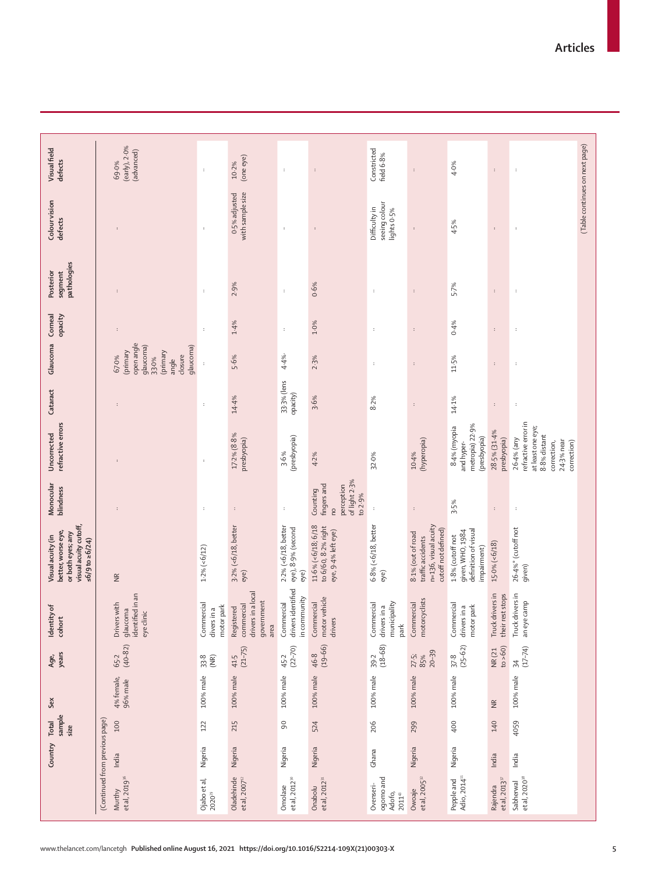|                                                 | Country                                 | sample<br>Total<br>size | Sex                     | years<br>Age,                   | Identity of<br>cohort                                                | visual acuity cutoff,<br>better, worse eye,<br>or both eyes; any<br>Visual acuity (in<br>$56/9$ to $\ge 6/24$ | Monocular<br>blindness                                                         | refractive errors<br>Uncorrected                                                                                     | Cataract                | Glaucoma                                                                                          | Corneal<br>opacity   | pathologies<br>Posterior<br>segment | Colour vision<br>defects                      | Visual field<br>defects              |
|-------------------------------------------------|-----------------------------------------|-------------------------|-------------------------|---------------------------------|----------------------------------------------------------------------|---------------------------------------------------------------------------------------------------------------|--------------------------------------------------------------------------------|----------------------------------------------------------------------------------------------------------------------|-------------------------|---------------------------------------------------------------------------------------------------|----------------------|-------------------------------------|-----------------------------------------------|--------------------------------------|
| et al, 2019 <sup>36</sup><br>Murthy             | (Continued from previous page)<br>India | 100                     | 4% female,<br>96% male  | $(40 - 82)$<br>65.2             | in an<br>Drivers with<br>glaucoma<br>identified<br>eye clinic        | $\widetilde{\Xi}$                                                                                             |                                                                                |                                                                                                                      |                         | open angle<br>glaucoma)<br>glaucoma)<br>primary<br>(primary<br>closure<br>67.0%<br>33.0%<br>angle | $\ddot{\phantom{a}}$ |                                     | ÷                                             | (early), 2.0%<br>(advanced)<br>69.0% |
| Ojabo et al,<br>2020 <sup>29</sup>              | Nigeria                                 | 122                     | 100% male               | $\widetilde{\text{MR}}$<br>33.8 | Commercial<br>motor park<br>divers in a                              | $1.2\% (-6/12)$                                                                                               | $\cdot$                                                                        | $\colon$                                                                                                             | $\cdot$                 | $\cdot$                                                                                           | $\ddot{\phantom{a}}$ | $\,$ :                              | $\ddot{\phantom{a}}$                          | $\cdot$                              |
| Oladehinde<br>et al, $2007^{\text{n}}$          | Nigeria                                 | 215                     | 100% male               | $(21 - 75)$<br>41.5             | drivers in a local<br>government<br>commercial<br>Registered<br>area | $3.2\%$ (<6/18, better<br>eye)                                                                                | $\colon$                                                                       | $17.2\%$ (8.8%<br>presbyopia)                                                                                        | 14.4%                   | 5.6%                                                                                              | 1.4%                 | 2.9%                                | with sample size<br>0-5% adjusted             | (one eye)<br>10-2%                   |
| et al, $2012$ <sup>30</sup><br>Omolase          | Nigeria                                 | $\mathsf{S}^0$          | 100% male               | $(22 - 70)$<br>45.2             | drivers identified<br>incommunity<br>Commercial                      | $2.2\%$ (<6/18, better<br>eye), 8-9% (second<br>eye)                                                          | $\,$ :                                                                         | (presbyopia)<br>3.6%                                                                                                 | 33-3% (lens<br>opacity) | 4.4%                                                                                              | $\ddot{\phantom{a}}$ | $\colon$                            | $\colon$                                      | $\colon$                             |
| et al, 2012 <sup>31</sup><br>Onabolu            | Nigeria                                 | 524                     | 100% male               | $(19 - 66)$<br>46.8             | motor vehicle<br>Commercial<br>drivers                               | $11.6\%$ (<6/18; 6/18<br>to 6/60, 8.2% right<br>eye, 9.4% left eye)                                           | of light 2.3%<br>fingers and<br>perception<br>Counting<br>to 2.9%<br><b>DU</b> | 4.2%                                                                                                                 | 3.6%                    | 2.3%                                                                                              | 1.0%                 | 0.6%                                | $\colon$                                      | $\colon$                             |
| ogomo and<br>Ovenseri-<br>Adofo,<br>$2011^{43}$ | Ghana                                   | 206                     | 100% male               | $(18 - 68)$<br>39.2             | municipality<br>Commercial<br>drivers in a<br>park                   | $6.8\%$ (< $6/18$ , better<br>eye)                                                                            | $\cdot$                                                                        | 32.0%                                                                                                                | 8.2%                    | $\cdot$                                                                                           | ÷                    | ÷                                   | seeing colour<br>Difficulty in<br>lights 0-5% | Constricted<br>field 6-8%            |
| et al, 2005 <sup>32</sup><br>Owoaje             | Nigeria                                 | 299                     | 100% male               | $20 - 39$<br>27.5<br>85%        | motorcyclists<br>Commercial                                          | n=136, visual acuity<br>cutoff not defined)<br>8.1% (out of road<br>traffic accidents                         | $\colon$                                                                       | (hyperopia)<br>10.4%                                                                                                 | $\colon$                | $\colon$                                                                                          | $\ddot{\cdot}$       | $\colon$                            | $\colon$                                      | $\colon$                             |
| Adio, 2014 <sup>11</sup><br>Pepple and          | Nigeria                                 | 400                     | 100% male               | $(25 - 62)$<br>37.8             | Commercial<br>motor park<br>drivers in a                             | definition of visual<br>given, WHO, 1984<br>1.8% (cutoff not<br>impairment)                                   | 3.5%                                                                           | metropia) 22-9%<br>8-4% (myopia<br>(presbyopia)<br>and hyper-                                                        | 14.1%                   | 11.5%                                                                                             | 0.4%                 | 5.7%                                | 4.5%                                          | 4.0%                                 |
| et al, $2013^{\circ}$<br>Rajendra               | India                                   | 140                     | $\frac{\alpha}{\alpha}$ | to > 60)<br><b>NR(21)</b>       | Truck drivers in<br>their rest stops                                 | $15.0\%$ (<6/18)                                                                                              | $\colon$                                                                       | 28.5% (31.4%<br>presbyopia)                                                                                          | $\colon$                | ÷                                                                                                 | $\ddot{\phantom{a}}$ | $\colon$                            | $\colon$                                      | $\colon$                             |
| et al, 2020 <sup>38</sup><br>Sabherwal          | India                                   | 4059                    | 100% male               | $(17 - 74)$<br>$\overline{54}$  | Truck drivers in<br>an eye camp                                      | 26-4%* (cutoff not<br>given)                                                                                  | $\cdot$                                                                        | refractive error in<br>at least one eye;<br>8.8% distant<br>26-4% (any<br>$24.3%$ near<br>correction)<br>correction, | ÷                       |                                                                                                   |                      | $\cdot$                             | ÷                                             | ÷                                    |
|                                                 |                                         |                         |                         |                                 |                                                                      |                                                                                                               |                                                                                |                                                                                                                      |                         |                                                                                                   |                      |                                     | (Table continues on next page)                |                                      |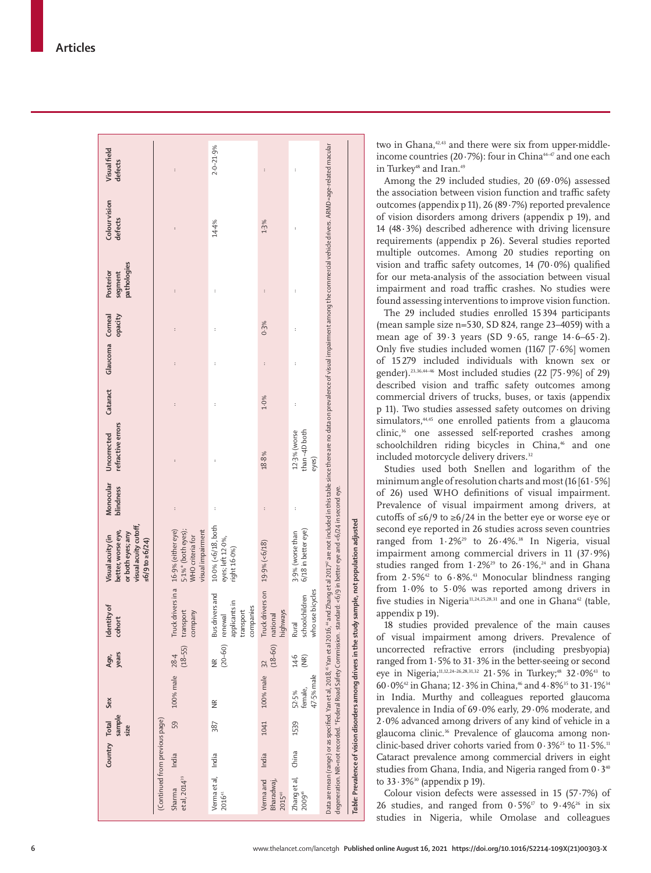Data are mean (range) or as specified. Yan et al, 2018, "Yan et al 2016," and Zhang et al Zhang et al 2017° are not included in this table since there are no data on prevalence of visual impairment among the commercial veh Data are mean (range) or as specified. Yan et al, 2018, <sup>6</sup>Yan et al 2016, <sup>4</sup> and Zhang et al Zhang et al Zhang et al Zouried in this table since there are no data on prevalence of visual impairment among the commercial v  $2.0 - 21.9%$ ·· ·· ·· ·· ·· ·· 14·4% 2·0–21·9% **Visual field**  Visual field **defects** ·· ·· ·· ·· ·· ·· ·· ·· 19/9% (2019) ·· 19/9% ·· 18/9% ·· 18/9% ·· 18/9% ·· 18/9% ·· 18/9% ·· 18/9% ·· 18/9% ·· 18/9% ·· 18/ ·· ·· ·· ·· ·· ·· Colour vision **Colour vision defects** 14.4%  $1.3%$ pathologies **pathologies** Posterior **Posterior segment**   $\colon$ **opacity** Corneal **Cataract Glaucoma Corneal**   $0.3%$ Glaucoma  $\bar{z}$ Cataract  $1.0%$ refractive errors **refractive errors**  $12.3%$  (worse<br>than  $-4D$  both than –4D both Uncorrected ·· 12·3% (worse **Uncorrected**  18.8% eyes) **blindness Monocular**  degeneration. NR=not recorded. \*Federal Road Safety Commission. standard: <6/9 in better eye and <6/24 in second eye. degeneration. NR=not recorded. \*Federal Road Safety Commission. standard: <6/9 in better eye and <6/24 in second eye. **visual acuity cutoff,**  10.0% (<6/18, both 10·0% (<6/18, both  $3.9\%$  (worse than<br> $6/18$  in better eye) visual acuity cutoff, better, worse eye, **better, worse eye,**  16.9% (either eye) 16·9% (either eye) 5·1%\* (both eyes); visual impairment 5-1%\* (both eyes); 6/18 in better eye) or both eyes; any **or both eyes; any**  visual impairment 3·9% (worse than Visual acuity (in **Visual acuity (in**  WHO criteria for WHO criteria for eyes; left 12-0%, eyes; left 12·0%,  $56/9$  to  $\geq 6/24$ ) 19.9% (<6/18) **≤6/9 to ≥6/24)** right 16·0%) Truck drivers in a Truck drivers on Truck drivers in a who use bicycles Truck drivers on who use bicycles **Bus drivers and** Bus drivers and schoolchildren schoolchildren applicants in applicants in **Identity of**  companies transport transport highways company company renewal national **cohort** Rural (20–60) (18–60) (18–55) **years** 28.4 **Sex Age,**  India 59 100% male 28·4 14·6 (NR) India 387 NR NR India 1041 100% male 32 100% male 100% male 47-5% male 47·5% male female, China 1539 52·5% Sex  $\widetilde{\Xi}$ Total **sample**  (Continued from previous page) (Continued from previous page) 1041 59 **Country Total**  387 1539 **size** Country India India India China /erma et al, Verma et al, Zhang et al, et al, 2014<sup>39</sup> /erma and et al, 201 $4^{39}$ Verma and Bharadwaj, Sharma 201641 201540 200946

not population adjusted *Table:* **Prevalence of vision disorders among drivers in the study sample, not population adjusted** Table: Prevalence of vision disorders among drivers in the study sample, two in Ghana,<sup>42,43</sup> and there were six from upper-middleincome countries (20 $\cdot$ 7%): four in China<sup>44-47</sup> and one each in Turkey<sup>48</sup> and Iran.<sup>49</sup>

Among the 29 included studies, 20 (69 ·0%) assessed the association between vision function and traffic safety outcomes (appendix p 11), 26 (89·7%) reported prevalence of vision disorders among drivers (appendix p 19), and 14 (48 ·3%) described adherence with driving licensure requirements (appendix p 26). Several studies reported multiple outcomes. Among 20 studies reporting on vision and traffic safety outcomes,  $14$  (70 $\cdot$ 0%) qualified for our meta-analysis of the association between visual impairment and road traffic crashes. No studies were found assessing interventions to improve vision function.

The 29 included studies enrolled 15394 participants (mean sample size n=530, SD 824, range 23–4059) with a mean age of  $39.3$  years (SD  $9.65$ , range  $14.6-65.2$ ). Only five studies included women (1167 [7·6%] women of 15 279 included individuals with known sex or gender).23,36,44–46 Most included studies (22 [75·9%] of 29) described vision and traffic safety outcomes among commercial drivers of trucks, buses, or taxis (appendix p 11). Two studies assessed safety outcomes on driving simulators,<sup>44,45</sup> one enrolled patients from a glaucoma clinic,<sup>36</sup> one assessed self-reported crashes among schoolchildren riding bicycles in China,<sup>46</sup> and one included motorcycle delivery drivers.<sup>32</sup>

Studies used both Snellen and logarithm of the minimum angle of resolution charts and most (16 [61 ·5%] of 26) used WHO definitions of visual impairment. Prevalence of visual impairment among drivers, at cutoffs of ≤6/9 to ≥6/24 in the better eye or worse eye or second eye reported in 26 studies across seven countries ranged from 1.2%<sup>29</sup> to 26.4%.<sup>38</sup> In Nigeria, visual impairment among commercial drivers in 11 (37 ·9%) studies ranged from  $1.2\%^{29}$  to  $26.1\%^{24}$  and in Ghana from  $2.5\%$ <sup>42</sup> to  $6.8\%$ <sup>43</sup> Monocular blindness ranging from  $1.0\%$  to  $5.0\%$  was reported among drivers in five studies in Nigeria<sup>11,24,25,28,31</sup> and one in Ghana<sup>42</sup> (table, appendix p 19).

18 studies provided prevalence of the main causes of visual impairment among drivers. Prevalence of uncorrected refractive errors (including presbyopia) ranged from  $1.5\%$  to  $31.3\%$  in the better-seeing or second eye in Nigeria;<sup>11,12,24-26,28,31,32</sup> 21 $\cdot$  5% in Turkey;<sup>48</sup> 32 $\cdot$ 0%<sup>43</sup> to  $60.0\%$ <sup>42</sup> in Ghana; 12 $\cdot$  3% in China,<sup>46</sup> and  $4.8\%$ <sup>35</sup> to 31 $\cdot$  1%<sup>34</sup> in India. Murthy and colleagues reported glaucoma prevalence in India of 69 ·0% early, 29·0% moderate, and 2 ·0% advanced among drivers of any kind of vehicle in a glaucoma clinic.36 Prevalence of glaucoma among nonclinic-based driver cohorts varied from  $0.3\%$ <sup>25</sup> to  $11.5\%$ .<sup>11</sup> Cataract prevalence among commercial drivers in eight studies from Ghana, India, and Nigeria ranged from 0 · 3<sup>4</sup> to 33 · 3%<sup>30</sup> (appendix p 19).

Colour vision defects were assessed in 15 (57 ·7%) of 26 studies, and ranged from  $0.5\%$ <sup>p</sup> to  $9.4\%$ <sup>26</sup> in six studies in Nigeria, while Omolase and colleagues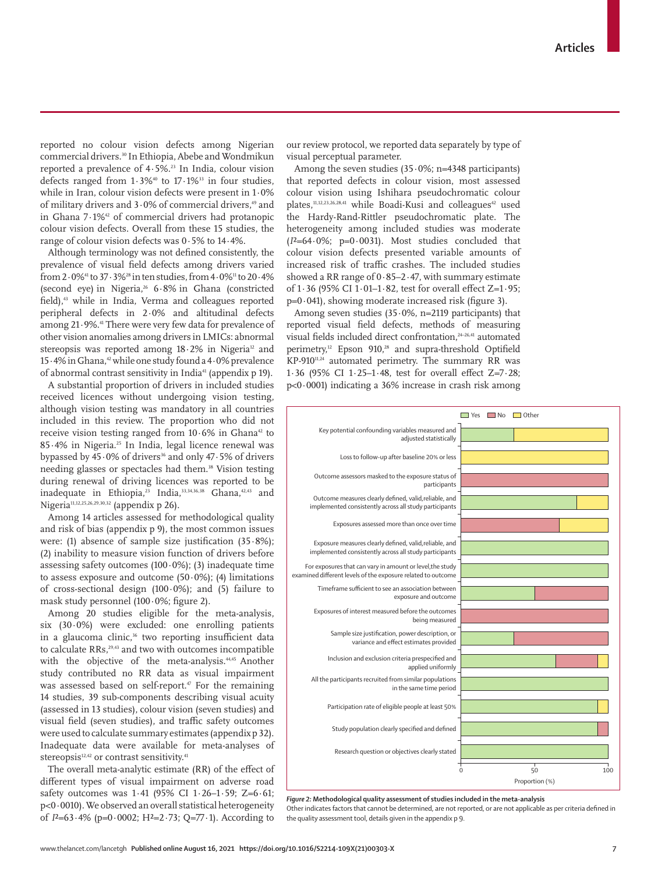www.thelancet.com/lancetgh **Published online August 16, 2021 https://doi.org/10.1016/S2214-109X(21)00303-X 7**

reported no colour vision defects among Nigerian commercial drivers.<sup>30</sup> In Ethiopia, Abebe and Wondmikun reported a prevalence of 4·5%.23 In India, colour vision defects ranged from  $1.3\%$ <sup>40</sup> to  $17.1\%$ <sup>33</sup> in four studies, while in Iran, colour vision defects were present in 1·0% of military drivers and  $3.0\%$  of commercial drivers,<sup>49</sup> and in Ghana 7·1%42 of commercial drivers had protanopic colour vision defects. Overall from these 15 studies, the range of colour vision defects was 0·5% to 14·4%.

Although terminology was not defined consistently, the prevalence of visual field defects among drivers varied from  $2.0\%$ <sup>41</sup> to  $37.3\%$ <sup>28</sup> in ten studies, from  $4.0\%$ <sup>11</sup> to  $20.4\%$ (second eye) in Nigeria,26 6·8% in Ghana (constricted field),<sup>43</sup> while in India, Verma and colleagues reported peripheral defects in 2·0% and altitudinal defects among 21·9%.41 There were very few data for prevalence of other vision anomalies among drivers in LMICs: abnormal stereopsis was reported among  $18.2\%$  in Nigeria<sup>12</sup> and 15·4% in Ghana,42 while one study found a 4·0% prevalence of abnormal contrast sensitivity in India<sup>41</sup> (appendix p 19).

A substantial proportion of drivers in included studies received licences without undergoing vision testing, although vision testing was mandatory in all countries included in this review. The proportion who did not receive vision testing ranged from  $10.6\%$  in Ghana<sup>42</sup> to 85·4% in Nigeria.25 In India, legal licence renewal was bypassed by 45 $\cdot$ 0% of drivers<sup>36</sup> and only 47 $\cdot$ 5% of drivers needing glasses or spectacles had them.38 Vision testing during renewal of driving licences was reported to be inadequate in Ethiopia,<sup>23</sup> India,<sup>33,34,36,38</sup> Ghana,<sup>42,43</sup> and Nigeria<sup>11,12,25,26,29,30,32</sup> (appendix p 26).

Among 14 articles assessed for methodological quality and risk of bias (appendix p 9), the most common issues were: (1) absence of sample size justification  $(35.8\%)$ ; (2) inability to measure vision function of drivers before assessing safety outcomes  $(100.0\%)$ ;  $(3)$  inadequate time to assess exposure and outcome  $(50.0\%)$ ; (4) limitations of cross-sectional design (100·0%); and (5) failure to mask study personnel (100·0%; figure 2).

Among 20 studies eligible for the meta-analysis, six  $(30.0\%)$  were excluded: one enrolling patients in a glaucoma clinic,<sup>36</sup> two reporting insufficient data to calculate RRs.<sup>29,43</sup> and two with outcomes incompatible with the objective of the meta-analysis.<sup>44,45</sup> Another study contributed no RR data as visual impairment was assessed based on self-report.<sup>47</sup> For the remaining 14 studies, 39 sub-components describing visual acuity (assessed in 13 studies), colour vision (seven studies) and visual field (seven studies), and traffic safety outcomes were used to calculate summary estimates (appendix p 32). Inadequate data were available for meta-analyses of stereopsis $12,42$  or contrast sensitivity.<sup>41</sup>

The overall meta-analytic estimate (RR) of the effect of different types of visual impairment on adverse road safety outcomes was 1·41 (95% CI 1·26–1·59; Z=6·61;  $p<0.0010$ ). We observed an overall statistical heterogeneity of *I*²=63·4% (p=0·0002; H²=2·73; Q=77·1). According to

our review protocol, we reported data separately by type of visual perceptual parameter.

Among the seven studies  $(35.0\%; n=4348 \text{ participants})$ that reported defects in colour vision, most assessed colour vision using Ishihara pseudochromatic colour plates,<sup>11,12,23,26,28,41</sup> while Boadi-Kusi and colleagues<sup>42</sup> used the Hardy-Rand-Rittler pseudochromatic plate. The heterogeneity among included studies was moderate (*I*²=64·0%; p=0·0031). Most studies concluded that colour vision defects presented variable amounts of increased risk of traffic crashes. The included studies showed a RR range of 0·85–2·47, with summary estimate of 1·36 (95% CI 1·01–1·82, test for overall effect Z=1·95;  $p=0.041$ ), showing moderate increased risk (figure 3).

Among seven studies  $(35.0\%, n=2119$  participants) that reported visual field defects, methods of measuring visual fields included direct confrontation,<sup>24–26,41</sup> automated perimetry,<sup>12</sup> Epson 910,<sup>28</sup> and supra-threshold Optifield KP-910<sup>11,24</sup> automated perimetry. The summary RR was 1·36 (95% CI 1·25–1·48, test for overall effect Z=7·28; p<0·0001) indicating a 36% increase in crash risk among



*Figure 2:* **Methodological quality assessment of studies included in the meta-analysis** Other indicates factors that cannot be determined, are not reported, or are not applicable as per criteria defined in the quality assessment tool, details given in the appendix p 9.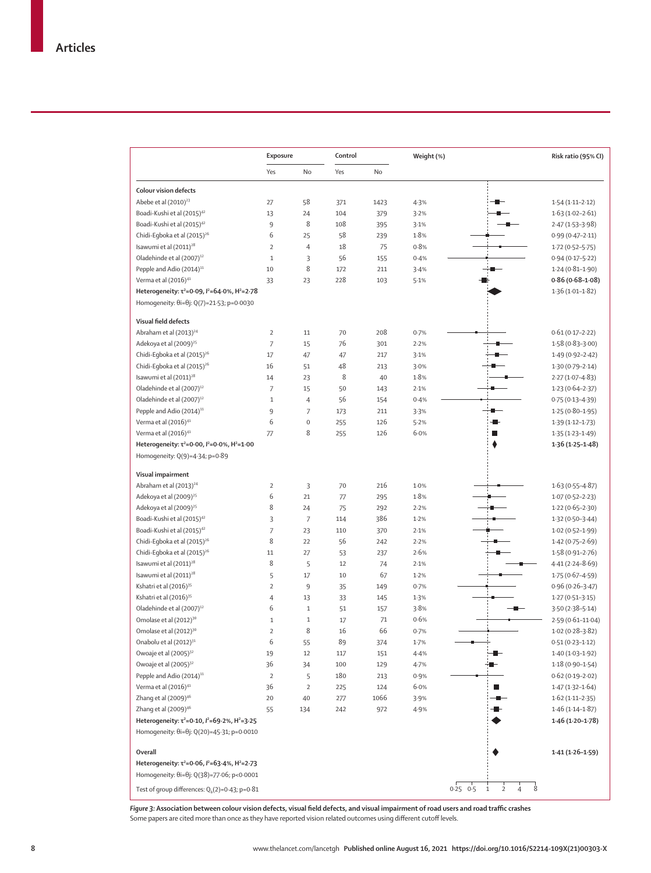|                                                                         | Exposure       |                | Control |      | Weight (%) |                                                                      | Risk ratio (95% CI) |
|-------------------------------------------------------------------------|----------------|----------------|---------|------|------------|----------------------------------------------------------------------|---------------------|
|                                                                         | Yes            | No             | Yes     | No   |            |                                                                      |                     |
| <b>Colour vision defects</b>                                            |                |                |         |      |            |                                                                      |                     |
| Abebe et al (2010) <sup>23</sup>                                        | 27             | 58             | 371     | 1423 | 4.3%       |                                                                      | $1.54(1.11 - 2.12)$ |
| Boadi-Kushi et al (2015) <sup>42</sup>                                  | 13             | 24             | 104     | 379  | 3.2%       |                                                                      | $1.63(1.02 - 2.61)$ |
| Boadi-Kushi et al (2015) <sup>42</sup>                                  | 9              | 8              | 108     | 395  | 3.1%       |                                                                      | 2.47 (1.53-3.98)    |
| Chidi-Egboka et al (2015) <sup>26</sup>                                 | 6              | 25             | 58      | 239  | 1.8%       |                                                                      | $0.99(0.47 - 2.11)$ |
| Isawumi et al (2011) <sup>28</sup>                                      | $\overline{2}$ | 4              | 18      | 75   | 0.8%       |                                                                      | $1.72(0.52 - 5.75)$ |
| Oladehinde et al (2007) <sup>12</sup>                                   | $\mathbf 1$    | 3              | 56      | 155  | 0.4%       |                                                                      | $0.94(0.17 - 5.22)$ |
| Pepple and Adio (2014) <sup>11</sup>                                    | 10             | 8              | 172     | 211  | 3.4%       |                                                                      | $1.24(0.81 - 1.90)$ |
| Verma et al (2016) <sup>41</sup>                                        | 33             | 23             | 228     | 103  | 5.1%       |                                                                      | $0.86(0.68 - 1.08)$ |
| Heterogeneity: τ <sup>2</sup> =0.09, $I^2$ =64.0%, Η <sup>2</sup> =2.78 |                |                |         |      |            |                                                                      | $1.36(1.01-1.82)$   |
| Homogeneity: θi=θj: Q(7)=21.53; p=0.0030                                |                |                |         |      |            |                                                                      |                     |
| Visual field defects                                                    |                |                |         |      |            |                                                                      |                     |
| Abraham et al (2013) <sup>24</sup>                                      | $\overline{2}$ | 11             | 70      | 208  | 0.7%       |                                                                      | $0.61(0.17 - 2.22)$ |
| Adekoya et al (2009) <sup>25</sup>                                      | $\overline{7}$ | 15             | 76      | 301  | 2.2%       |                                                                      | $1.58(0.83 - 3.00)$ |
| Chidi-Egboka et al (2015) <sup>26</sup>                                 | 17             | 47             | 47      | 217  | 3.1%       |                                                                      | $1.49(0.92 - 2.42)$ |
| Chidi-Egboka et al (2015) <sup>26</sup>                                 | 16             | 51             | 48      | 213  | 3.0%       |                                                                      | $1.30(0.79 - 2.14)$ |
| Isawumi et al (2011) <sup>28</sup>                                      | 14             | 23             | 8       | 40   | 1.8%       |                                                                      | $2.27(1.07 - 4.83)$ |
| Oladehinde et al (2007) <sup>12</sup>                                   | $\overline{7}$ | 15             | 50      | 143  | 2.1%       |                                                                      | $1.23(0.64 - 2.37)$ |
| Oladehinde et al (2007) <sup>12</sup>                                   | $\mathbf 1$    | 4              | 56      | 154  | 0.4%       |                                                                      | $0.75(0.13 - 4.39)$ |
| Pepple and Adio (2014) <sup>11</sup>                                    | 9              | $\overline{7}$ | 173     | 211  | 3.3%       | ш                                                                    | $1.25(0.80 - 1.95)$ |
| Verma et al (2016) <sup>41</sup>                                        | 6              | $\mathbf 0$    | 255     | 126  | 5.2%       |                                                                      | $1.39(1.12 - 1.73)$ |
| Verma et al (2016) <sup>41</sup>                                        | 77             | 8              | 255     | 126  | 6.0%       | Ľ                                                                    | $1.35(1.23 - 1.49)$ |
| Heterogeneity: τ <sup>2</sup> =0.00, $l^2$ =0.0%, Η <sup>2</sup> =1.00  |                |                |         |      |            | ٠                                                                    | $1.36(1.25 - 1.48)$ |
| Homogeneity: Q(9)=4-34; p=0-89                                          |                |                |         |      |            |                                                                      |                     |
| Visual impairment                                                       |                |                |         |      |            |                                                                      |                     |
| Abraham et al (2013) <sup>24</sup>                                      | $\overline{2}$ | 3              | 70      | 216  | 1.0%       |                                                                      | $1.63(0.55 - 4.87)$ |
| Adekoya et al (2009) <sup>25</sup>                                      | 6              | 21             | 77      | 295  | 1.8%       |                                                                      | $1.07(0.52 - 2.23)$ |
| Adekoya et al (2009) <sup>25</sup>                                      | 8              | 24             | 75      | 292  | 2.2%       |                                                                      | $1.22(0.65 - 2.30)$ |
| Boadi-Kushi et al (2015) <sup>42</sup>                                  | 3              | 7              | 114     | 386  | 1.2%       |                                                                      | $1.32(0.50-3.44)$   |
| Boadi-Kushi et al (2015) <sup>42</sup>                                  | $\overline{7}$ | 23             | 110     | 370  | 2.1%       |                                                                      | $1.02(0.52 - 1.99)$ |
| Chidi-Egboka et al (2015) <sup>26</sup>                                 | 8              | 22             | 56      | 242  | 2.2%       |                                                                      | $1.42(0.75 - 2.69)$ |
| Chidi-Egboka et al (2015) <sup>26</sup>                                 | 11             | 27             | 53      | 237  | 2.6%       |                                                                      | $1.58(0.91 - 2.76)$ |
| Isawumi et al (2011) <sup>28</sup>                                      | 8              | 5              | 12      | 74   | 2.1%       |                                                                      | $4.41(2.24 - 8.69)$ |
| Isawumi et al (2011) <sup>28</sup>                                      | 5              | 17             | 10      | 67   | 1.2%       |                                                                      | $1.75(0.67 - 4.59)$ |
| Kshatri et al (2016) <sup>35</sup>                                      | $\overline{2}$ | 9              | 35      | 149  | 0.7%       |                                                                      | $0.96(0.26 - 3.47)$ |
| Kshatri et al (2016) <sup>35</sup>                                      | 4              | 13             | 33      | 145  | 1.3%       |                                                                      | $1.27(0.51 - 3.15)$ |
| Oladehinde et al (2007) <sup>12</sup>                                   | 6              | $1\,$          | 51      | 157  | 3.8%       |                                                                      | $3.50(2.38 - 5.14)$ |
| Omolase et al (2012) <sup>30</sup>                                      | $\mathbf{1}$   | $1\,$          | 17      | 71   | 0.6%       |                                                                      | 2.59 (0.61-11.04)   |
| Omolase et al (2012) <sup>30</sup>                                      | $\overline{2}$ | 8              | 16      | 66   | 0.7%       |                                                                      | $1.02(0.28 - 3.82)$ |
| Onabolu et al (2012) <sup>31</sup>                                      | 6              | 55             | 89      | 374  | 1.7%       |                                                                      | $0.51(0.23 - 1.12)$ |
| Owoaje et al (2005) <sup>32</sup>                                       | 19             | 12             | 117     | 151  | 4.4%       |                                                                      | $1.40(1.03 - 1.92)$ |
| Owoaje et al (2005) <sup>32</sup>                                       | 36             | 34             | 100     | 129  | 4.7%       |                                                                      | $1.18(0.90 - 1.54)$ |
| Pepple and Adio (2014) <sup>11</sup>                                    | $\overline{2}$ | 5              | 180     | 213  | 0.9%       |                                                                      | $0.62(0.19 - 2.02)$ |
| Verma et al (2016) <sup>41</sup>                                        | 36             | $\overline{2}$ | 225     | 124  | 6.0%       | ■                                                                    | $1.47(1.32 - 1.64)$ |
| Zhang et al (2009) <sup>46</sup>                                        | 20             | 40             | 277     | 1066 | 3.9%       |                                                                      | $1.62(1.11-2.35)$   |
| Zhang et al (2009) <sup>46</sup>                                        | 55             | 134            | 242     | 972  | 4.9%       |                                                                      | $1.46(1.14-1.87)$   |
| Heterogeneity: τ <sup>2</sup> =0.10, $I^2$ =69.2%, Η <sup>2</sup> =3.25 |                |                |         |      |            |                                                                      | $1.46(1.20 - 1.78)$ |
| Homogeneity: θi=θj: Q(20)=45·31; p=0·0010                               |                |                |         |      |            |                                                                      |                     |
| Overall                                                                 |                |                |         |      |            |                                                                      | $1.41(1.26 - 1.59)$ |
| Heterogeneity: $\tau^2 = 0.06$ , $l^2 = 63.4$ %, $H^2 = 2.73$           |                |                |         |      |            |                                                                      |                     |
| Homogeneity: θi=θj: Q(38)=77·06; p<0·0001                               |                |                |         |      |            |                                                                      |                     |
| Test of group differences: $Q_b(2)=0.43$ ; p=0.81                       |                |                |         |      |            | 8<br>$0.25$ $0.5$<br>$\overline{2}$<br>$\mathbf 1$<br>$\overline{4}$ |                     |

*Figure 3:* **Association between colour vision defects, visual field defects, and visual impairment of road users and road traffic crashes**  Some papers are cited more than once as they have reported vision related outcomes using different cutoff levels.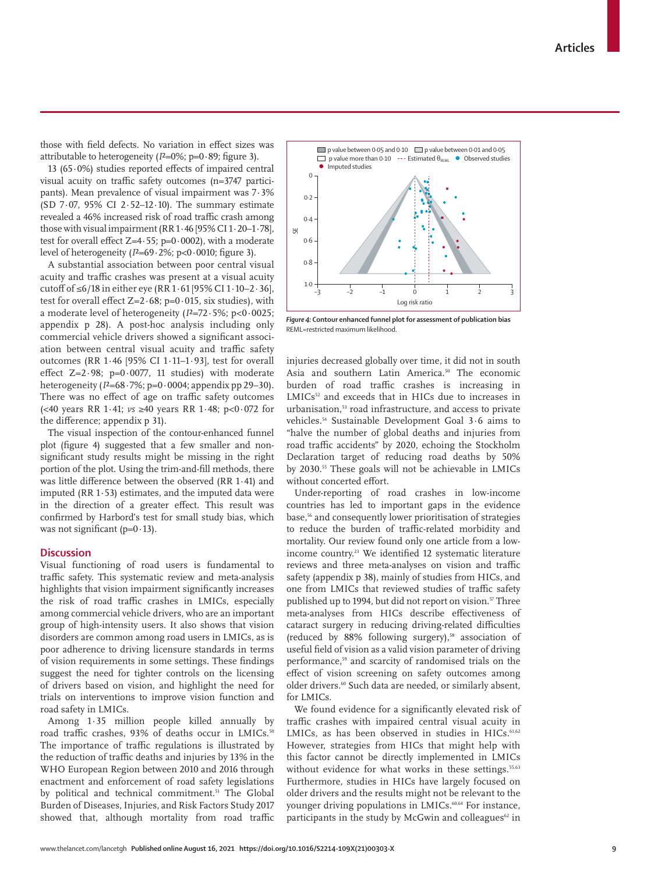those with field defects. No variation in effect sizes was attributable to heterogeneity  $(I^2=0\%; p=0.89;$  figure 3).

13 (65·0%) studies reported effects of impaired central visual acuity on traffic safety outcomes (n=3747 participants). Mean prevalence of visual impairment was 7·3% (SD 7·07, 95% CI 2·52–12·10). The summary estimate revealed a 46% increased risk of road traffic crash among those with visual impairment (RR  $1.46$  [95% CI  $1.20-1.78$ ], test for overall effect Z=4 $\cdot$ 55; p=0 $\cdot$ 0002), with a moderate level of heterogeneity  $(I^2=69.2\%; p<0.0010; figure 3)$ .

A substantial association between poor central visual acuity and traffic crashes was present at a visual acuity cutoff of ≤6/18 in either eye (RR  $1.61$  [95% CI  $1.10-2.36$ ], test for overall effect  $Z=2.68$ ;  $p=0.015$ , six studies), with a moderate level of heterogeneity (*I*²=72·5%; p<0·0025; appendix p 28). A post-hoc analysis including only commercial vehicle drivers showed a significant association between central visual acuity and traffic safety outcomes (RR 1·46 [95% CI 1·11–1·93], test for overall effect  $Z=2.98$ ;  $p=0.0077$ , 11 studies) with moderate heterogeneity (*I*²=68·7%; p=0·0004; appendix pp 29–30). There was no effect of age on traffic safety outcomes (<40 years RR 1·41; *vs* ≥40 years RR 1·48; p<0·072 for the difference; appendix p 31).

The visual inspection of the contour-enhanced funnel plot (figure 4) suggested that a few smaller and nonsignificant study results might be missing in the right portion of the plot. Using the trim-and-fill methods, there was little difference between the observed (RR 1·41) and imputed (RR 1·53) estimates, and the imputed data were in the direction of a greater effect. This result was confirmed by Harbord's test for small study bias, which was not significant ( $p=0.13$ ).

## **Discussion**

Visual functioning of road users is fundamental to traffic safety. This systematic review and meta-analysis highlights that vision impairment significantly increases the risk of road traffic crashes in LMICs, especially among commercial vehicle drivers, who are an important group of high-intensity users. It also shows that vision disorders are common among road users in LMICs, as is poor adherence to driving licensure standards in terms of vision requirements in some settings. These findings suggest the need for tighter controls on the licensing of drivers based on vision, and highlight the need for trials on interventions to improve vision function and road safety in LMICs.

Among 1·35 million people killed annually by road traffic crashes, 93% of deaths occur in LMICs.<sup>50</sup> The importance of traffic regulations is illustrated by the reduction of traffic deaths and injuries by 13% in the WHO European Region between 2010 and 2016 through enactment and enforcement of road safety legislations by political and technical commitment.<sup>51</sup> The Global Burden of Diseases, Injuries, and Risk Factors Study 2017 showed that, although mortality from road traffic



*Figure 4:* **Contour enhanced funnel plot for assessment of publication bias** REML=restricted maximum likelihood.

injuries decreased globally over time, it did not in south Asia and southern Latin America.<sup>50</sup> The economic burden of road traffic crashes is increasing in LMICs<sup>52</sup> and exceeds that in HICs due to increases in urbanisation,<sup>53</sup> road infrastructure, and access to private vehicles.54 Sustainable Development Goal 3·6 aims to "halve the number of global deaths and injuries from road traffic accidents" by 2020, echoing the Stockholm Declaration target of reducing road deaths by 50% by 2030.55 These goals will not be achievable in LMICs without concerted effort.

Under-reporting of road crashes in low-income countries has led to important gaps in the evidence base,<sup>56</sup> and consequently lower prioritisation of strategies to reduce the burden of traffic-related morbidity and mortality. Our review found only one article from a lowincome country.<sup>23</sup> We identified 12 systematic literature reviews and three meta-analyses on vision and traffic safety (appendix p 38), mainly of studies from HICs, and one from LMICs that reviewed studies of traffic safety published up to 1994, but did not report on vision.<sup>57</sup> Three meta-analyses from HICs describe effectiveness of cataract surgery in reducing driving-related difficulties (reduced by  $88\%$  following surgery),<sup>58</sup> association of useful field of vision as a valid vision parameter of driving performance,<sup>59</sup> and scarcity of randomised trials on the effect of vision screening on safety outcomes among older drivers.<sup>60</sup> Such data are needed, or similarly absent, for LMICs.

We found evidence for a significantly elevated risk of traffic crashes with impaired central visual acuity in LMICs, as has been observed in studies in HICs. $61,62$ However, strategies from HICs that might help with this factor cannot be directly implemented in LMICs without evidence for what works in these settings.<sup>55,63</sup> Furthermore, studies in HICs have largely focused on older drivers and the results might not be relevant to the younger driving populations in LMICs.<sup>60,64</sup> For instance, participants in the study by McGwin and colleagues $62$  in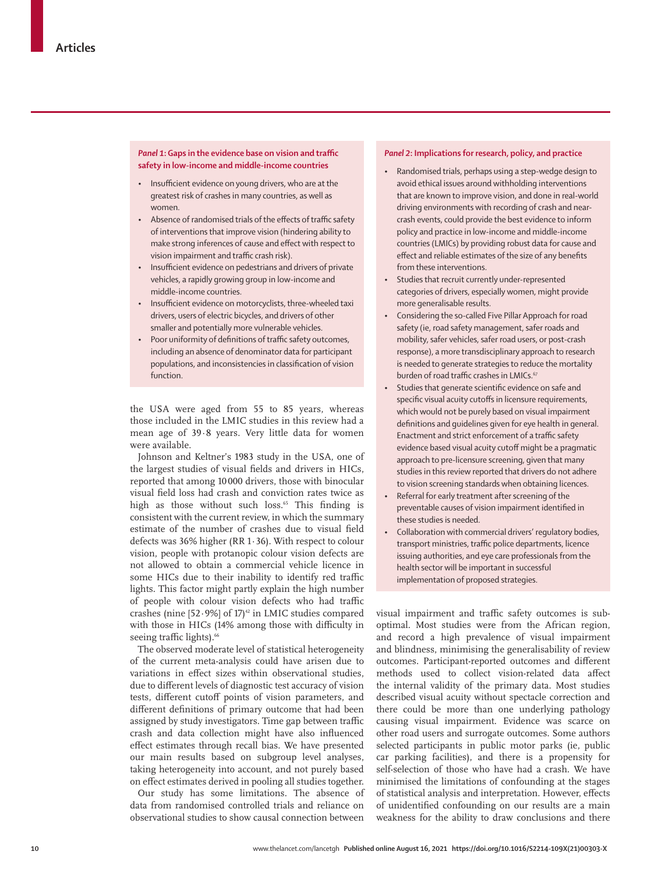## *Panel 1***: Gaps in the evidence base on vision and traffic safety in low-income and middle-income countries**

- Insufficient evidence on young drivers, who are at the greatest risk of crashes in many countries, as well as women.
- Absence of randomised trials of the effects of traffic safety of interventions that improve vision (hindering ability to make strong inferences of cause and effect with respect to vision impairment and traffic crash risk).
- Insufficient evidence on pedestrians and drivers of private vehicles, a rapidly growing group in low-income and middle-income countries.
- Insufficient evidence on motorcyclists, three-wheeled taxi drivers, users of electric bicycles, and drivers of other smaller and potentially more vulnerable vehicles.
- Poor uniformity of definitions of traffic safety outcomes, including an absence of denominator data for participant populations, and inconsistencies in classification of vision function.

the USA were aged from 55 to 85 years, whereas those included in the LMIC studies in this review had a mean age of 39·8 years. Very little data for women were available.

Johnson and Keltner's 1983 study in the USA, one of the largest studies of visual fields and drivers in HICs, reported that among 10 000 drivers, those with binocular visual field loss had crash and conviction rates twice as high as those without such loss.<sup>65</sup> This finding is consistent with the current review, in which the summary estimate of the number of crashes due to visual field defects was 36% higher (RR 1·36). With respect to colour vision, people with protanopic colour vision defects are not allowed to obtain a commercial vehicle licence in some HICs due to their inability to identify red traffic lights. This factor might partly explain the high number of people with colour vision defects who had traffic crashes (nine [52 $\cdot$ 9%] of 17)<sup>42</sup> in LMIC studies compared with those in HICs (14% among those with difficulty in seeing traffic lights).<sup>66</sup>

The observed moderate level of statistical heterogeneity of the current meta-analysis could have arisen due to variations in effect sizes within observational studies, due to different levels of diagnostic test accuracy of vision tests, different cutoff points of vision parameters, and different definitions of primary outcome that had been assigned by study investigators. Time gap between traffic crash and data collection might have also influenced effect estimates through recall bias. We have presented our main results based on subgroup level analyses, taking heterogeneity into account, and not purely based on effect estimates derived in pooling all studies together.

Our study has some limitations. The absence of data from randomised controlled trials and reliance on observational studies to show causal connection between

## *Panel 2***: Implications for research, policy, and practice**

- Randomised trials, perhaps using a step-wedge design to avoid ethical issues around withholding interventions that are known to improve vision, and done in real-world driving environments with recording of crash and nearcrash events, could provide the best evidence to inform policy and practice in low-income and middle-income countries (LMICs) by providing robust data for cause and effect and reliable estimates of the size of any benefits from these interventions.
- Studies that recruit currently under-represented categories of drivers, especially women, might provide more generalisable results.
- Considering the so-called Five Pillar Approach for road safety (ie, road safety management, safer roads and mobility, safer vehicles, safer road users, or post-crash response), a more transdisciplinary approach to research is needed to generate strategies to reduce the mortality burden of road traffic crashes in LMICs $67$
- Studies that generate scientific evidence on safe and specific visual acuity cutoffs in licensure requirements, which would not be purely based on visual impairment definitions and guidelines given for eye health in general. Enactment and strict enforcement of a traffic safety evidence based visual acuity cutoff might be a pragmatic approach to pre-licensure screening, given that many studies in this review reported that drivers do not adhere to vision screening standards when obtaining licences.
- Referral for early treatment after screening of the preventable causes of vision impairment identified in these studies is needed.
- Collaboration with commercial drivers' regulatory bodies, transport ministries, traffic police departments, licence issuing authorities, and eye care professionals from the health sector will be important in successful implementation of proposed strategies.

visual impairment and traffic safety outcomes is suboptimal. Most studies were from the African region, and record a high prevalence of visual impairment and blindness, minimising the generalisability of review outcomes. Participant-reported outcomes and different methods used to collect vision-related data affect the internal validity of the primary data. Most studies described visual acuity without spectacle correction and there could be more than one underlying pathology causing visual impairment. Evidence was scarce on other road users and surrogate outcomes. Some authors selected participants in public motor parks (ie, public car parking facilities), and there is a propensity for self-selection of those who have had a crash. We have minimised the limitations of confounding at the stages of statistical analysis and interpretation. However, effects of unidentified confounding on our results are a main weakness for the ability to draw conclusions and there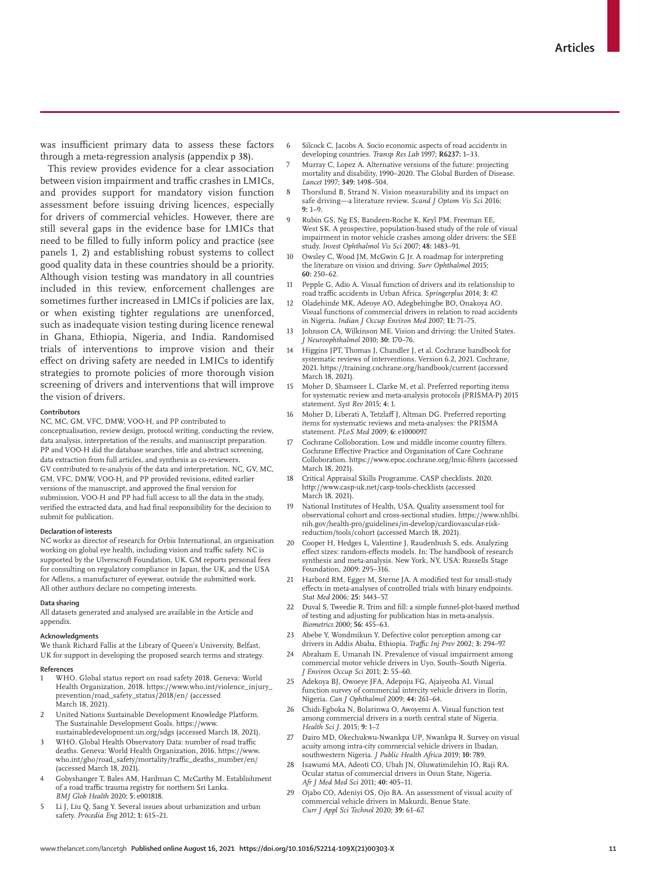was insufficient primary data to assess these factors through a meta-regression analysis (appendix p 38).

This review provides evidence for a clear association between vision impairment and traffic crashes in LMICs, and provides support for mandatory vision function assessment before issuing driving licences, especially for drivers of commercial vehicles. However, there are still several gaps in the evidence base for LMICs that need to be filled to fully inform policy and practice (see panels 1, 2) and establishing robust systems to collect good quality data in these countries should be a priority. Although vision testing was mandatory in all countries included in this review, enforcement challenges are sometimes further increased in LMICs if policies are lax, or when existing tighter regulations are unenforced, such as inadequate vision testing during licence renewal in Ghana, Ethiopia, Nigeria, and India. Randomised trials of interventions to improve vision and their effect on driving safety are needed in LMICs to identify strategies to promote policies of more thorough vision screening of drivers and interventions that will improve the vision of drivers.

#### **Contributors**

NC, MC, GM, VFC, DMW, VOO-H, and PP contributed to conceptualisation, review design, protocol writing, conducting the review, data analysis, interpretation of the results, and manuscript preparation. PP and VOO-H did the database searches, title and abstract screening, data extraction from full articles, and synthesis as co-reviewers. GV contributed to re-analysis of the data and interpretation. NC, GV, MC, GM, VFC, DMW, VOO-H, and PP provided revisions, edited earlier versions of the manuscript, and approved the final version for submission. VOO-H and PP had full access to all the data in the study, verified the extracted data, and had final responsibility for the decision to submit for publication**.**

#### **Declaration of interests**

NC works as director of research for Orbis International, an organisation working on global eye health, including vision and traffic safety. NC is supported by the Ulverscroft Foundation, UK. GM reports personal fees for consulting on regulatory compliance in Japan, the UK, and the USA for Adlens, a manufacturer of eyewear, outside the submitted work. All other authors declare no competing interests.

#### **Data sharing**

All datasets generated and analysed are available in the Article and appendix.

#### **Acknowledgments**

We thank Richard Fallis at the Library of Queen's University, Belfast, UK for support in developing the proposed search terms and strategy.

#### **References**

- WHO. Global status report on road safety 2018. Geneva: World Health Organization, 2018. https://www.who.int/violence\_injury\_ prevention/road\_safety\_status/2018/en/ (accessed March 18, 2021).
- 2 United Nations Sustainable Development Knowledge Platform. The Sustainable Development Goals. https://www. sustainabledevelopment.un.org/sdgs (accessed March 18, 2021).
- WHO. Global Health Observatory Data: number of road traffic deaths. Geneva: World Health Organization, 2016. https://www. who.int/gho/road\_safety/mortality/traffic\_deaths\_number/en/ (accessed March 18, 2021).
- 4 Gobyshanger T, Bales AM, Hardman C, McCarthy M. Establishment of a road traffic trauma registry for northern Sri Lanka. *BMJ Glob Health* 2020; **5:** e001818.
- 5 Li J, Liu Q, Sang Y. Several issues about urbanization and urban safety. *Procedia Eng* 2012; **1:** 615–21.
- Silcock C, Jacobs A. Socio economic aspects of road accidents in developing countries. *Transp Res Lab* 1997; **R6237:** 1–33.
- 7 Murray C, Lopez A. Alternative versions of the future: projecting mortality and disability, 1990–2020. The Global Burden of Disease. *Lancet* 1997; **349:** 1498–504.
- 8 Thorslund B, Strand N. Vision measurability and its impact on safe driving—a literature review. *Scand J Optom Vis Sci* 2016; **9:** 1–9.
- 9 Rubin GS, Ng ES, Bandeen-Roche K, Keyl PM, Freeman EE, West SK. A prospective, population-based study of the role of visual impairment in motor vehicle crashes among older drivers: the SEE study. *Invest Ophthalmol Vis Sci* 2007; **48:** 1483–91.
- 10 Owsley C, Wood JM, McGwin G Jr. A roadmap for interpreting the literature on vision and driving. *Surv Ophthalmol* 2015; **60:** 250–62.
- Pepple G, Adio A. Visual function of drivers and its relationship to road traffic accidents in Urban Africa. *Springerplus* 2014; **3:** 47.
- 12 Oladehinde MK, Adeoye AO, Adegbehingbe BO, Onakoya AO. Visual functions of commercial drivers in relation to road accidents in Nigeria. *Indian J Occup Environ Med* 2007; **11:** 71–75.
- Johnson CA, Wilkinson ME. Vision and driving: the United States. *J Neuroophthalmol* 2010; **30:** 170–76.
- 14 Higgins JPT, Thomas J, Chandler J, et al. Cochrane handbook for systematic reviews of interventions. Version 6.2, 2021. Cochrane, 2021. https://training.cochrane.org/handbook/current (accessed March 18, 2021).
- 15 Moher D, Shamseer L, Clarke M, et al. Preferred reporting items for systematic review and meta-analysis protocols (PRISMA-P) 2015 statement. *Syst Rev* 2015; **4:** 1.
- 16 Moher D, Liberati A, Tetzlaff J, Altman DG. Preferred reporting items for systematic reviews and meta-analyses: the PRISMA statement. *PLoS Med* 2009; **6:** e1000097.
- 17 Cochrane Colloboration. Low and middle income country filters. Cochrane Effective Practice and Organisation of Care Cochrane Colloboration. https://www.epoc.cochrane.org/lmic-filters (accessed March 18, 2021).
- 18 Critical Appraisal Skills Programme. CASP checklists. 2020. http://www.casp-uk.net/casp-tools-checklists (accessed March 18, 2021).
- 19 National Institutes of Health, USA. Quality assessment tool for observational cohort and cross-sectional studies. https://www.nhlbi. nih.gov/health-pro/guidelines/in-develop/cardiovascular-riskreduction/tools/cohort (accessed March 18, 2021).
- 20 Cooper H, Hedges L, Valentine J, Raudenbush S, eds. Analyzing effect sizes: random-effects models. In: The handbook of research synthesis and meta-analysis. New York, NY, USA: Russells Stage Foundation, 2009: 295–316.
- 21 Harbord RM, Egger M, Sterne JA. A modified test for small-study effects in meta-analyses of controlled trials with binary endpoints. *Stat Med* 2006; **25:** 3443–57.
- 22 Duval S, Tweedie R. Trim and fill: a simple funnel-plot-based method of testing and adjusting for publication bias in meta-analysis. *Biometrics* 2000; **56:** 455–63.
- 23 Abebe Y, Wondmikun Y. Defective color perception among car drivers in Addis Ababa, Ethiopia. *Traffic Inj Prev* 2002; **3:** 294–97.
- 24 Abraham E, Umanah IN. Prevalence of visual impairment among commercial motor vehicle drivers in Uyo, South–South Nigeria. *J Environ Occup Sci* 2011; **2:** 55–60.
- 25 Adekoya BJ, Owoeye JFA, Adepoju FG, Ajaiyeoba AI. Visual function survey of commercial intercity vehicle drivers in Ilorin, Nigeria. *Can J Ophthalmol* 2009; **44:** 261–64.
- 26 Chidi-Egboka N, Bolarinwa O, Awoyemi A. Visual function test among commercial drivers in a north central state of Nigeria. *Health Sci J.* 2015; **9:** 1–7.
- 27 Dairo MD, Okechukwu-Nwankpa UP, Nwankpa R. Survey on visual acuity among intra-city commercial vehicle drivers in Ibadan, southwestern Nigeria. *J Public Health Africa* 2019; **10:** 789.
- 28 Isawumi MA, Adeoti CO, Ubah JN, Oluwatimilehin IO, Raji RA. Ocular status of commercial drivers in Osun State, Nigeria. *Afr J Med Med Sci* 2011; **40:** 405–11.
- 29 Ojabo CO, Adeniyi OS, Ojo BA. An assessment of visual acuity of commercial vehicle drivers in Makurdi, Benue State. *Curr J Appl Sci Technol* 2020; **39:** 61–67.